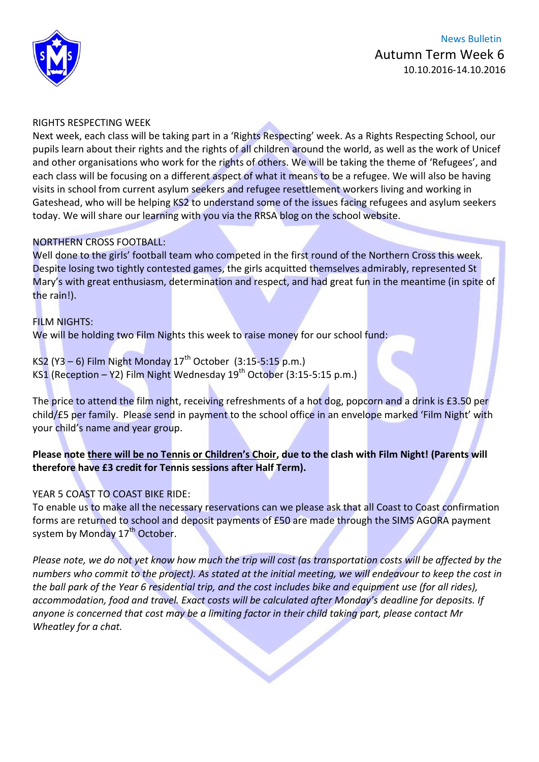

#### RIGHTS RESPECTING WEEK

Next week, each class will be taking part in a 'Rights Respecting' week. As a Rights Respecting School, our pupils learn about their rights and the rights of all children around the world, as well as the work of Unicef and other organisations who work for the rights of others. We will be taking the theme of 'Refugees', and each class will be focusing on a different aspect of what it means to be a refugee. We will also be having visits in school from current asylum seekers and refugee resettlement workers living and working in Gateshead, who will be helping KS2 to understand some of the issues facing refugees and asylum seekers today. We will share our learning with you via the RRSA blog on the school website.

#### NORTHERN CROSS FOOTBALL:

Well done to the girls' football team who competed in the first round of the Northern Cross this week. Despite losing two tightly contested games, the girls acquitted themselves admirably, represented St Mary's with great enthusiasm, determination and respect, and had great fun in the meantime (in spite of the rain!).

#### FILM NIGHTS:

We will be holding two Film Nights this week to raise money for our school fund:

KS2 (Y3 – 6) Film Night Monday  $17^{th}$  October (3:15-5:15 p.m.) KS1 (Reception – Y2) Film Night Wednesday  $19^{th}$  October (3:15-5:15 p.m.)

The price to attend the film night, receiving refreshments of a hot dog, popcorn and a drink is £3.50 per child/£5 per family. Please send in payment to the school office in an envelope marked 'Film Night' with your child's name and year group.

#### **Please note there will be no Tennis or Children's Choir, due to the clash with Film Night! (Parents will therefore have £3 credit for Tennis sessions after Half Term).**

#### YEAR 5 COAST TO COAST BIKE RIDE:

To enable us to make all the necessary reservations can we please ask that all Coast to Coast confirmation forms are returned to school and deposit payments of £50 are made through the SIMS AGORA payment system by Monday 17<sup>th</sup> October.

*Please note, we do not yet know how much the trip will cost (as transportation costs will be affected by the numbers who commit to the project). As stated at the initial meeting, we will endeavour to keep the cost in the ball park of the Year 6 residential trip, and the cost includes bike and equipment use (for all rides), accommodation, food and travel. Exact costs will be calculated after Monday's deadline for deposits. If anyone is concerned that cost may be a limiting factor in their child taking part, please contact Mr Wheatley for a chat.*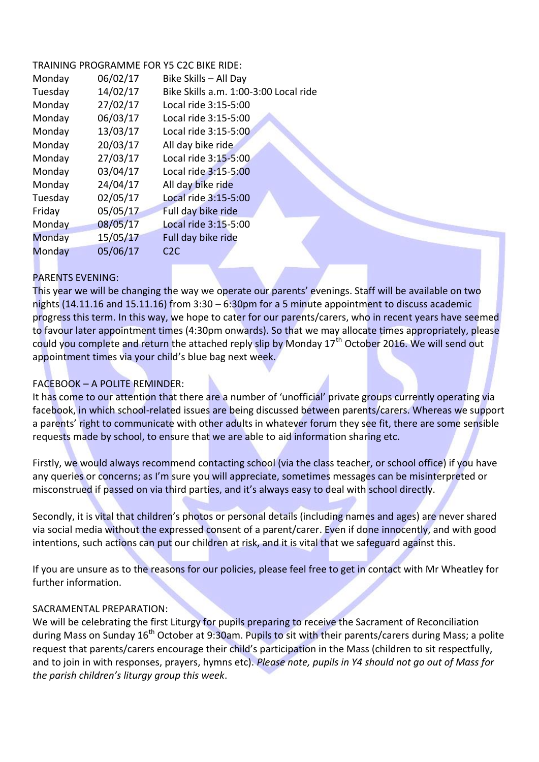#### TRAINING PROGRAMME FOR Y5 C2C BIKE RIDE:

| Monday  | 06/02/17 | Bike Skills - All Day                 |  |
|---------|----------|---------------------------------------|--|
| Tuesday | 14/02/17 | Bike Skills a.m. 1:00-3:00 Local ride |  |
| Monday  | 27/02/17 | Local ride 3:15-5:00                  |  |
| Monday  | 06/03/17 | Local ride 3:15-5:00                  |  |
| Monday  | 13/03/17 | Local ride 3:15-5:00                  |  |
| Monday  | 20/03/17 | All day bike ride                     |  |
| Monday  | 27/03/17 | Local ride 3:15-5:00                  |  |
| Monday  | 03/04/17 | Local ride 3:15-5:00                  |  |
| Monday  | 24/04/17 | All day bike ride                     |  |
| Tuesday | 02/05/17 | Local ride 3:15-5:00                  |  |
| Friday  | 05/05/17 | Full day bike ride                    |  |
| Monday  | 08/05/17 | Local ride 3:15-5:00                  |  |
| Monday  | 15/05/17 | Full day bike ride                    |  |
| Monday  | 05/06/17 | C2C                                   |  |
|         |          |                                       |  |

#### PARENTS EVENING:

This year we will be changing the way we operate our parents' evenings. Staff will be available on two nights (14.11.16 and 15.11.16) from 3:30 – 6:30pm for a 5 minute appointment to discuss academic progress this term. In this way, we hope to cater for our parents/carers, who in recent years have seemed to favour later appointment times (4:30pm onwards). So that we may allocate times appropriately, please could you complete and return the attached reply slip by Monday 17<sup>th</sup> October 2016. We will send out appointment times via your child's blue bag next week.

## FACEBOOK – A POLITE REMINDER:

It has come to our attention that there are a number of 'unofficial' private groups currently operating via facebook, in which school-related issues are being discussed between parents/carers. Whereas we support a parents' right to communicate with other adults in whatever forum they see fit, there are some sensible requests made by school, to ensure that we are able to aid information sharing etc.

Firstly, we would always recommend contacting school (via the class teacher, or school office) if you have any queries or concerns; as I'm sure you will appreciate, sometimes messages can be misinterpreted or misconstrued if passed on via third parties, and it's always easy to deal with school directly.

Secondly, it is vital that children's photos or personal details (including names and ages) are never shared via social media without the expressed consent of a parent/carer. Even if done innocently, and with good intentions, such actions can put our children at risk, and it is vital that we safeguard against this.

If you are unsure as to the reasons for our policies, please feel free to get in contact with Mr Wheatley for further information.

#### SACRAMENTAL PREPARATION:

We will be celebrating the first Liturgy for pupils preparing to receive the Sacrament of Reconciliation during Mass on Sunday 16<sup>th</sup> October at 9:30am. Pupils to sit with their parents/carers during Mass; a polite request that parents/carers encourage their child's participation in the Mass (children to sit respectfully, and to join in with responses, prayers, hymns etc). *Please note, pupils in Y4 should not go out of Mass for the parish children's liturgy group this week*.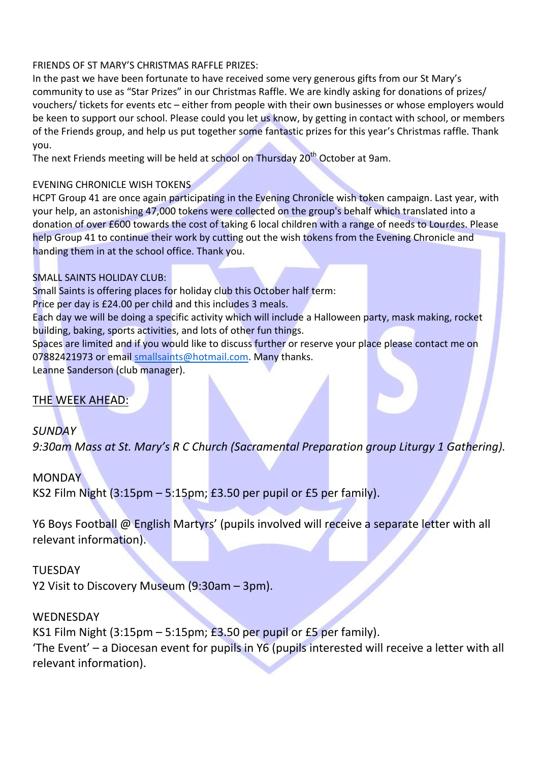### FRIENDS OF ST MARY'S CHRISTMAS RAFFLE PRIZES:

In the past we have been fortunate to have received some very generous gifts from our St Mary's community to use as "Star Prizes" in our Christmas Raffle. We are kindly asking for donations of prizes/ vouchers/ tickets for events etc – either from people with their own businesses or whose employers would be keen to support our school. Please could you let us know, by getting in contact with school, or members of the Friends group, and help us put together some fantastic prizes for this year's Christmas raffle. Thank you.

The next Friends meeting will be held at school on Thursday 20<sup>th</sup> October at 9am.

## EVENING CHRONICLE WISH TOKENS

HCPT Group 41 are once again participating in the Evening Chronicle wish token campaign. Last year, with your help, an astonishing 47,000 tokens were collected on the group's behalf which translated into a donation of over £600 towards the cost of taking 6 local children with a range of needs to Lourdes. Please help Group 41 to continue their work by cutting out the wish tokens from the Evening Chronicle and handing them in at the school office. Thank you.

## SMALL SAINTS HOLIDAY CLUB:

Small Saints is offering places for holiday club this October half term:

Price per day is £24.00 per child and this includes 3 meals.

Each day we will be doing a specific activity which will include a Halloween party, mask making, rocket building, baking, sports activities, and lots of other fun things.

Spaces are limited and if you would like to discuss further or reserve your place please contact me on 07882421973 or email [smallsaints@hotmail.com.](mailto:smallsaints@hotmail.com) Many thanks.

Leanne Sanderson (club manager).

## THE WEEK AHEAD:

*SUNDAY 9:30am Mass at St. Mary's R C Church (Sacramental Preparation group Liturgy 1 Gathering).*

# **MONDAY** KS2 Film Night  $(3:15 \text{pm} - 5:15 \text{pm})$ ; £3.50 per pupil or £5 per family).

Y6 Boys Football @ English Martyrs' (pupils involved will receive a separate letter with all relevant information).

## **TUESDAY**

Y2 Visit to Discovery Museum (9:30am – 3pm).

## WEDNESDAY

KS1 Film Night (3:15pm – 5:15pm; £3.50 per pupil or £5 per family). 'The Event' – a Diocesan event for pupils in Y6 (pupils interested will receive a letter with all relevant information).